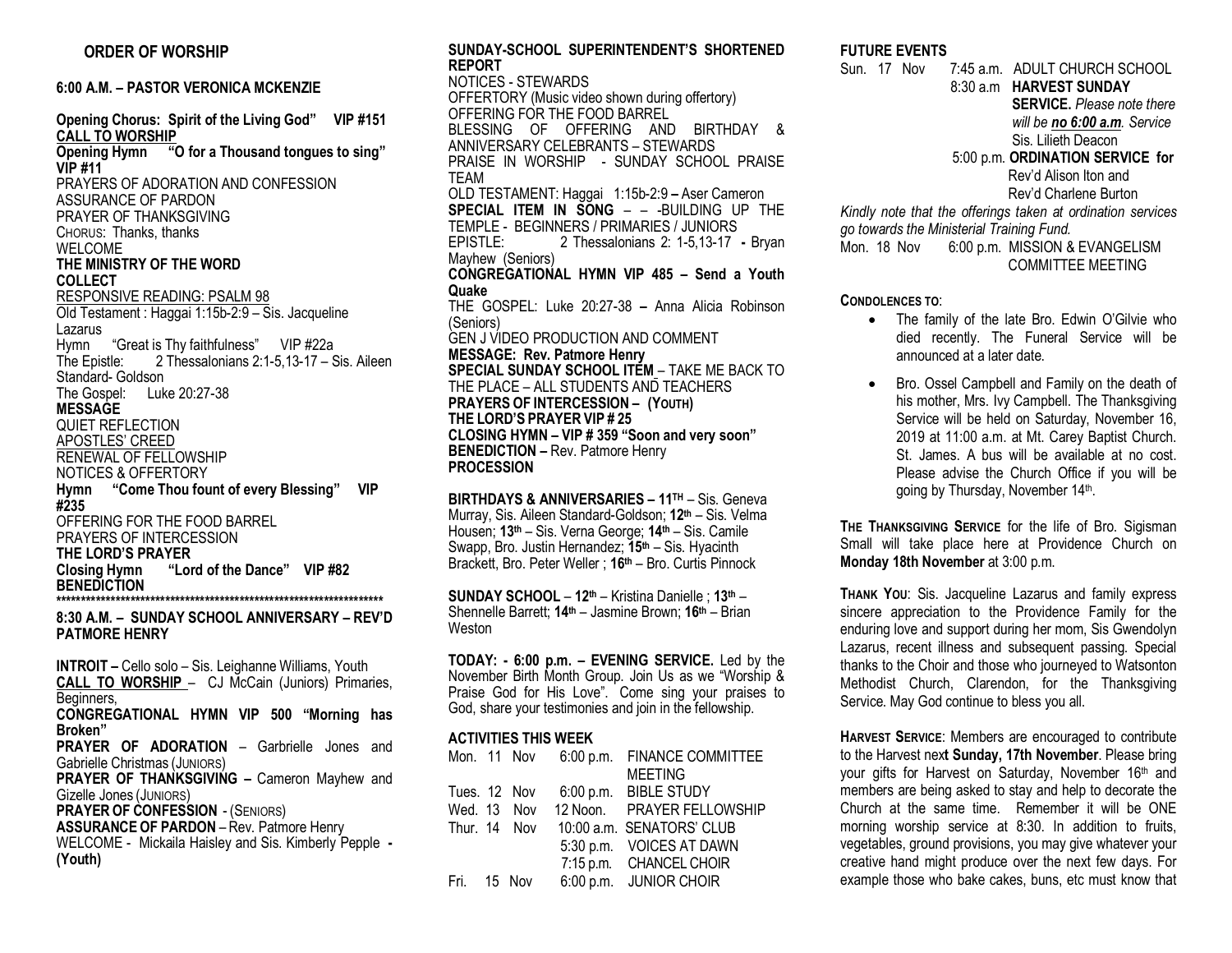# **ORDER OF WORSHIP**

**6:00 A.M. – PASTOR VERONICA MCKENZIE** 

**Opening Chorus: Spirit of the Living God" VIP #151 CALL TO WORSHIP Opening Hymn "O for a Thousand tongues to sing" VIP #11** PRAYERS OF ADORATION AND CONFESSION ASSURANCE OF PARDON PRAYER OF THANKSGIVING CHORUS: Thanks, thanks WELCOME **THE MINISTRY OF THE WORD COLLECT** RESPONSIVE READING: PSALM 98 Old Testament : Haggai 1:15b-2:9 – Sis. Jacqueline Lazarus Hymn "Great is Thy faithfulness" VIP #22a 2 Thessalonians 2:1-5,13-17 – Sis. Aileen Standard- Goldson The Gospel: Luke 20:27-38 **MESSAGE** QUIET REFLECTION APOSTLES' CREED RENEWAL OF FELLOWSHIP NOTICES & OFFERTORY **Hymn "Come Thou fount of every Blessing" VIP #235** OFFERING FOR THE FOOD BARREL PRAYERS OF INTERCESSION **THE LORD'S PRAYER Closing Hymn "Lord of the Dance" VIP #82 BENEDICTION \*\*\*\*\*\*\*\*\*\*\*\*\*\*\*\*\*\*\*\*\*\*\*\*\*\*\*\*\*\*\*\*\*\*\*\*\*\*\*\*\*\*\*\*\*\*\*\*\*\*\*\*\*\*\*\*\*\*\*\*\*\*\*\*\*\***

**8:30 A.M. – SUNDAY SCHOOL ANNIVERSARY – REV'D PATMORE HENRY**

**INTROIT –** Cello solo – Sis. Leighanne Williams, Youth **CALL TO WORSHIP** – CJ McCain (Juniors) Primaries, Beginners, **CONGREGATIONAL HYMN VIP 500 "Morning has Broken" PRAYER OF ADORATION** – Garbrielle Jones and Gabrielle Christmas (JUNIORS) **PRAYER OF THANKSGIVING –** Cameron Mayhew and Gizelle Jones (JUNIORS) **PRAYER OF CONFESSION** - (SENIORS) **ASSURANCE OF PARDON** – Rev. Patmore Henry WELCOME - Mickaila Haisley and Sis. Kimberly Pepple **- (Youth)** 

**SUNDAY-SCHOOL SUPERINTENDENT'S SHORTENED REPORT**  NOTICES - STEWARDS OFFERTORY (Music video shown during offertory) OFFERING FOR THE FOOD BARREL BLESSING OF OFFERING AND BIRTHDAY & ANNIVERSARY CELEBRANTS – STEWARDS PRAISE IN WORSHIP - SUNDAY SCHOOL PRAISE TEAM OLD TESTAMENT: Haggai 1:15b-2:9 **–** Aser Cameron **SPECIAL ITEM IN SONG** – – -BUILDING UP THE TEMPLE - BEGINNERS / PRIMARIES / JUNIORS EPISTLE: 2 Thessalonians 2: 1-5,13-17 **-** Bryan Mayhew (Seniors) **CONGREGATIONAL HYMN VIP 485 – Send a Youth Quake** THE GOSPEL: Luke 20:27-38 **–** Anna Alicia Robinson (Seniors) GEN J VIDEO PRODUCTION AND COMMENT **MESSAGE: Rev. Patmore Henry SPECIAL SUNDAY SCHOOL ITEM** – TAKE ME BACK TO THE PLACE – ALL STUDENTS AND TEACHERS **PRAYERS OF INTERCESSION – (YOUTH) THE LORD'S PRAYER VIP # 25 CLOSING HYMN – VIP # 359 "Soon and very soon" BENEDICTION –** Rev. Patmore Henry **PROCESSION** 

**BIRTHDAYS & ANNIVERSARIES – 11TH** – Sis. Geneva Murray, Sis. Aileen Standard-Goldson; **12th** – Sis. Velma Housen; **13th** – Sis. Verna George; **14th** – Sis. Camile Swapp, Bro. Justin Hernandez; **15th** – Sis. Hyacinth Brackett, Bro. Peter Weller ; **16th** – Bro. Curtis Pinnock

**SUNDAY SCHOOL** – **12th** – Kristina Danielle ; **13th** – Shennelle Barrett; **14th** – Jasmine Brown; **16th** – Brian Weston

**TODAY: - 6:00 p.m. – EVENING SERVICE.** Led by the November Birth Month Group. Join Us as we "Worship & Praise God for His Love". Come sing your praises to God, share your testimonies and join in the fellowship.

## **ACTIVITIES THIS WEEK**

|             |              | Mon. 11 Nov 6:00 p.m. FINANCE COMMITTEE |
|-------------|--------------|-----------------------------------------|
|             |              | <b>MEETING</b>                          |
|             |              | Tues. 12 Nov 6:00 p.m. BIBLE STUDY      |
|             |              | Wed. 13 Nov 12 Noon. PRAYER FELLOWSHIP  |
|             | Thur. 14 Nov | 10:00 a.m. SENATORS' CLUB               |
|             |              | 5:30 p.m. VOICES AT DAWN                |
|             |              | 7:15 p.m. CHANCEL CHOIR                 |
| Fri. 15 Nov |              | 6:00 p.m. JUNIOR CHOIR                  |

#### **FUTURE EVENTS**

Sun. 17 Nov 7:45 a.m. ADULT CHURCH SCHOOL 8:30 a.m **HARVEST SUNDAY SERVICE.** *Please note there will be no 6:00 a.m. Service* Sis. Lilieth Deacon 5:00 p.m. **ORDINATION SERVICE for**  Rev'd Alison Iton and Rev'd Charlene Burton *Kindly note that the offerings taken at ordination services go towards the Ministerial Training Fund.* Mon. 18 Nov 6:00 p.m. MISSION & EVANGELISM COMMITTEE MEETING

**CONDOLENCES TO**:

- The family of the late Bro. Edwin O'Gilvie who died recently. The Funeral Service will be announced at a later date.
- Bro. Ossel Campbell and Family on the death of his mother, Mrs. Ivy Campbell. The Thanksgiving Service will be held on Saturday, November 16, 2019 at 11:00 a.m. at Mt. Carey Baptist Church. St. James. A bus will be available at no cost. Please advise the Church Office if you will be going by Thursday, November 14th.

**THE THANKSGIVING SERVICE** for the life of Bro. Sigisman Small will take place here at Providence Church on **Monday 18th November** at 3:00 p.m.

**THANK YOU**: Sis. Jacqueline Lazarus and family express sincere appreciation to the Providence Family for the enduring love and support during her mom, Sis Gwendolyn Lazarus, recent illness and subsequent passing. Special thanks to the Choir and those who journeyed to Watsonton Methodist Church, Clarendon, for the Thanksgiving Service. May God continue to bless you all.

**HARVEST SERVICE**: Members are encouraged to contribute to the Harvest nex**t Sunday, 17th November**. Please bring your gifts for Harvest on Saturday, November 16th and members are being asked to stay and help to decorate the Church at the same time. Remember it will be ONE morning worship service at 8:30. In addition to fruits, vegetables, ground provisions, you may give whatever your creative hand might produce over the next few days. For example those who bake cakes, buns, etc must know that